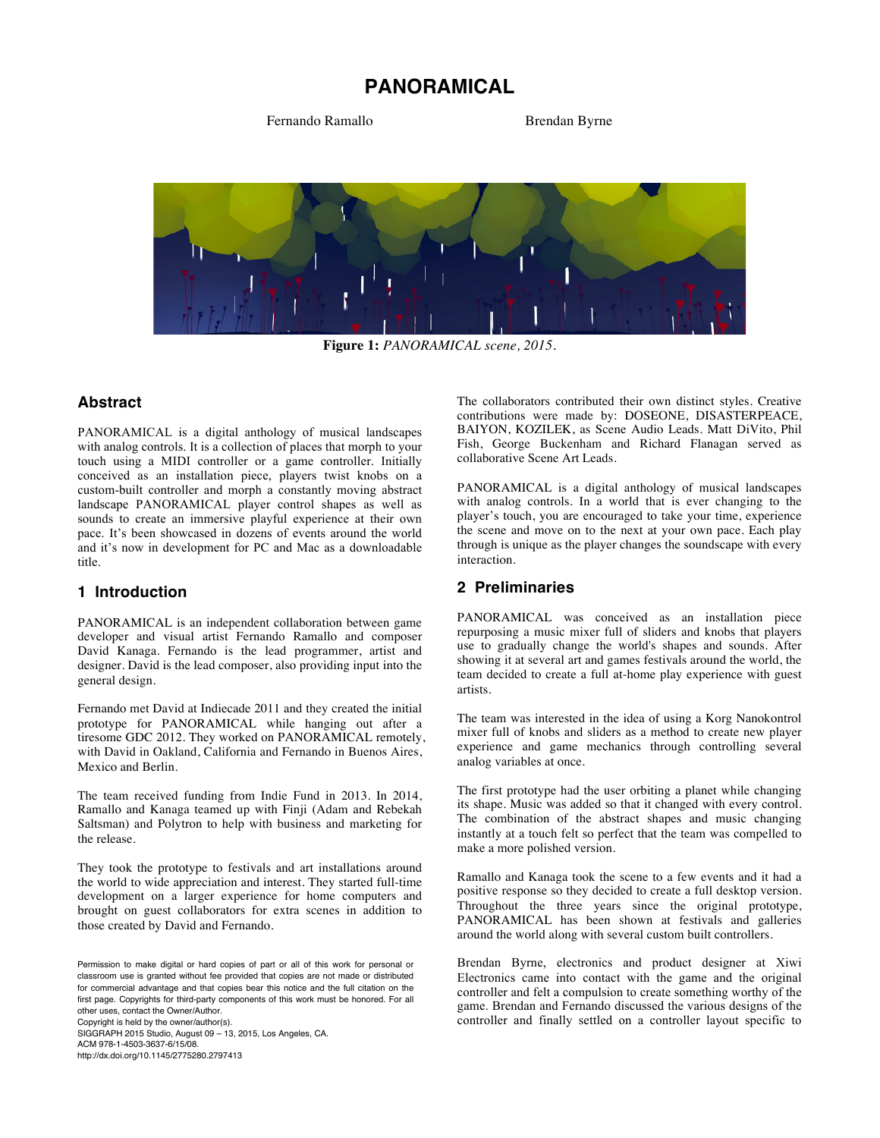# **PANORAMICAL**

Fernando Ramallo Brendan Byrne



**Figure 1:** *PANORAMICAL scene, 2015.*

### **Abstract**

PANORAMICAL is a digital anthology of musical landscapes with analog controls. It is a collection of places that morph to your touch using a MIDI controller or a game controller. Initially conceived as an installation piece, players twist knobs on a custom-built controller and morph a constantly moving abstract landscape PANORAMICAL player control shapes as well as sounds to create an immersive playful experience at their own pace. It's been showcased in dozens of events around the world and it's now in development for PC and Mac as a downloadable title.

#### **1 Introduction**

PANORAMICAL is an independent collaboration between game developer and visual artist Fernando Ramallo and composer David Kanaga. Fernando is the lead programmer, artist and designer. David is the lead composer, also providing input into the general design.

Fernando met David at Indiecade 2011 and they created the initial prototype for PANORAMICAL while hanging out after a tiresome GDC 2012. They worked on PANORAMICAL remotely, with David in Oakland, California and Fernando in Buenos Aires, Mexico and Berlin.

The team received funding from Indie Fund in 2013. In 2014, Ramallo and Kanaga teamed up with Finji (Adam and Rebekah Saltsman) and Polytron to help with business and marketing for the release.

They took the prototype to festivals and art installations around the world to wide appreciation and interest. They started full-time development on a larger experience for home computers and brought on guest collaborators for extra scenes in addition to those created by David and Fernando.

Copyright is held by the owner/author(s).

SIGGRAPH 2015 Studio, August 09 – 13, 2015, Los Angeles, CA. ACM 978-1-4503-3637-6/15/08.

http://dx.doi.org/10.1145/2775280.2797413

The collaborators contributed their own distinct styles. Creative contributions were made by: DOSEONE, DISASTERPEACE, BAIYON, KOZILEK, as Scene Audio Leads. Matt DiVito, Phil Fish, George Buckenham and Richard Flanagan served as collaborative Scene Art Leads.

PANORAMICAL is a digital anthology of musical landscapes with analog controls. In a world that is ever changing to the player's touch, you are encouraged to take your time, experience the scene and move on to the next at your own pace. Each play through is unique as the player changes the soundscape with every interaction.

#### **2 Preliminaries**

PANORAMICAL was conceived as an installation piece repurposing a music mixer full of sliders and knobs that players use to gradually change the world's shapes and sounds. After showing it at several art and games festivals around the world, the team decided to create a full at-home play experience with guest artists.

The team was interested in the idea of using a Korg Nanokontrol mixer full of knobs and sliders as a method to create new player experience and game mechanics through controlling several analog variables at once.

The first prototype had the user orbiting a planet while changing its shape. Music was added so that it changed with every control. The combination of the abstract shapes and music changing instantly at a touch felt so perfect that the team was compelled to make a more polished version.

Ramallo and Kanaga took the scene to a few events and it had a positive response so they decided to create a full desktop version. Throughout the three years since the original prototype, PANORAMICAL has been shown at festivals and galleries around the world along with several custom built controllers.

Brendan Byrne, electronics and product designer at Xiwi Electronics came into contact with the game and the original controller and felt a compulsion to create something worthy of the game. Brendan and Fernando discussed the various designs of the controller and finally settled on a controller layout specific to

Permission to make digital or hard copies of part or all of this work for personal or classroom use is granted without fee provided that copies are not made or distributed for commercial advantage and that copies bear this notice and the full citation on the first page. Copyrights for third-party components of this work must be honored. For all other uses, contact the Owner/Author.